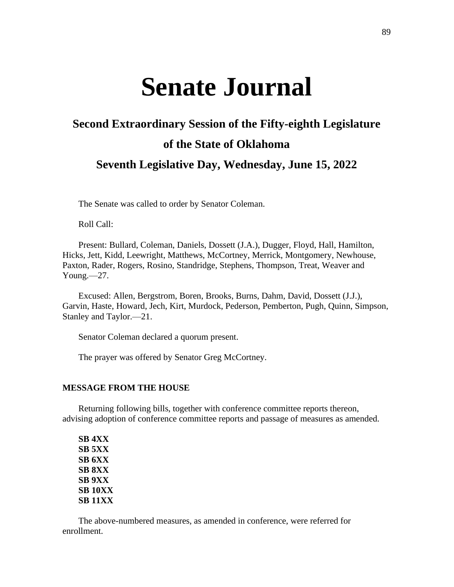# **Senate Journal**

## **Second Extraordinary Session of the Fifty-eighth Legislature of the State of Oklahoma Seventh Legislative Day, Wednesday, June 15, 2022**

The Senate was called to order by Senator Coleman.

Roll Call:

Present: Bullard, Coleman, Daniels, Dossett (J.A.), Dugger, Floyd, Hall, Hamilton, Hicks, Jett, Kidd, Leewright, Matthews, McCortney, Merrick, Montgomery, Newhouse, Paxton, Rader, Rogers, Rosino, Standridge, Stephens, Thompson, Treat, Weaver and Young.—27.

Excused: Allen, Bergstrom, Boren, Brooks, Burns, Dahm, David, Dossett (J.J.), Garvin, Haste, Howard, Jech, Kirt, Murdock, Pederson, Pemberton, Pugh, Quinn, Simpson, Stanley and Taylor.—21.

Senator Coleman declared a quorum present.

The prayer was offered by Senator Greg McCortney.

#### **MESSAGE FROM THE HOUSE**

Returning following bills, together with conference committee reports thereon, advising adoption of conference committee reports and passage of measures as amended.

**SB 4XX SB 5XX SB 6XX SB 8XX SB 9XX SB 10XX SB 11XX**

The above-numbered measures, as amended in conference, were referred for enrollment.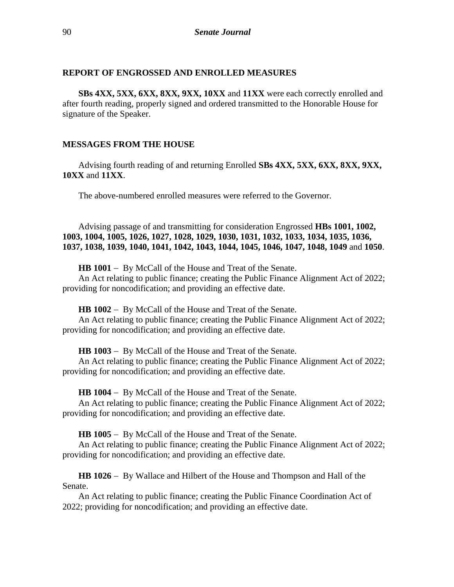#### **REPORT OF ENGROSSED AND ENROLLED MEASURES**

**SBs 4XX, 5XX, 6XX, 8XX, 9XX, 10XX** and **11XX** were each correctly enrolled and after fourth reading, properly signed and ordered transmitted to the Honorable House for signature of the Speaker.

#### **MESSAGES FROM THE HOUSE**

Advising fourth reading of and returning Enrolled **SBs 4XX, 5XX, 6XX, 8XX, 9XX, 10XX** and **11XX**.

The above-numbered enrolled measures were referred to the Governor.

Advising passage of and transmitting for consideration Engrossed **HBs 1001, 1002, 1003, 1004, 1005, 1026, 1027, 1028, 1029, 1030, 1031, 1032, 1033, 1034, 1035, 1036, 1037, 1038, 1039, 1040, 1041, 1042, 1043, 1044, 1045, 1046, 1047, 1048, 1049** and **1050**.

**HB 1001** − By McCall of the House and Treat of the Senate.

An Act relating to public finance; creating the Public Finance Alignment Act of 2022; providing for noncodification; and providing an effective date.

**HB 1002** − By McCall of the House and Treat of the Senate.

An Act relating to public finance; creating the Public Finance Alignment Act of 2022; providing for noncodification; and providing an effective date.

**HB 1003** − By McCall of the House and Treat of the Senate.

An Act relating to public finance; creating the Public Finance Alignment Act of 2022; providing for noncodification; and providing an effective date.

**HB 1004** − By McCall of the House and Treat of the Senate.

An Act relating to public finance; creating the Public Finance Alignment Act of 2022; providing for noncodification; and providing an effective date.

**HB 1005** − By McCall of the House and Treat of the Senate.

An Act relating to public finance; creating the Public Finance Alignment Act of 2022; providing for noncodification; and providing an effective date.

**HB 1026** − By Wallace and Hilbert of the House and Thompson and Hall of the Senate.

An Act relating to public finance; creating the Public Finance Coordination Act of 2022; providing for noncodification; and providing an effective date.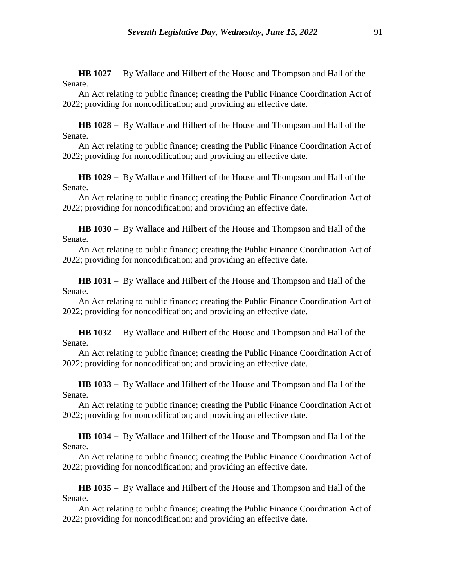**HB 1027** − By Wallace and Hilbert of the House and Thompson and Hall of the Senate.

An Act relating to public finance; creating the Public Finance Coordination Act of 2022; providing for noncodification; and providing an effective date.

**HB 1028** − By Wallace and Hilbert of the House and Thompson and Hall of the Senate.

An Act relating to public finance; creating the Public Finance Coordination Act of 2022; providing for noncodification; and providing an effective date.

**HB 1029** − By Wallace and Hilbert of the House and Thompson and Hall of the Senate.

An Act relating to public finance; creating the Public Finance Coordination Act of 2022; providing for noncodification; and providing an effective date.

**HB 1030** − By Wallace and Hilbert of the House and Thompson and Hall of the Senate.

An Act relating to public finance; creating the Public Finance Coordination Act of 2022; providing for noncodification; and providing an effective date.

**HB 1031** − By Wallace and Hilbert of the House and Thompson and Hall of the Senate.

An Act relating to public finance; creating the Public Finance Coordination Act of 2022; providing for noncodification; and providing an effective date.

**HB 1032** − By Wallace and Hilbert of the House and Thompson and Hall of the Senate.

An Act relating to public finance; creating the Public Finance Coordination Act of 2022; providing for noncodification; and providing an effective date.

**HB 1033** − By Wallace and Hilbert of the House and Thompson and Hall of the Senate.

An Act relating to public finance; creating the Public Finance Coordination Act of 2022; providing for noncodification; and providing an effective date.

**HB 1034** − By Wallace and Hilbert of the House and Thompson and Hall of the Senate.

An Act relating to public finance; creating the Public Finance Coordination Act of 2022; providing for noncodification; and providing an effective date.

**HB 1035** − By Wallace and Hilbert of the House and Thompson and Hall of the Senate.

An Act relating to public finance; creating the Public Finance Coordination Act of 2022; providing for noncodification; and providing an effective date.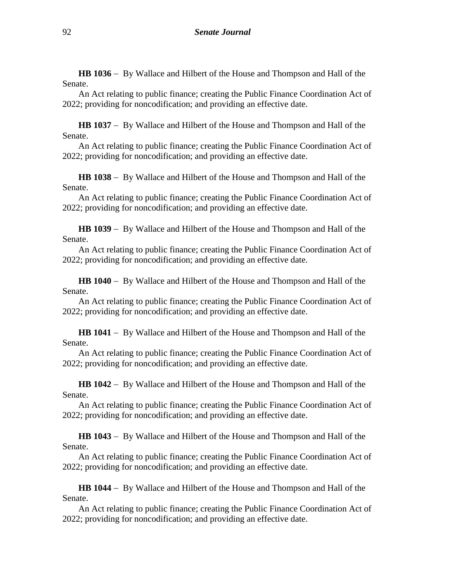**HB 1036** − By Wallace and Hilbert of the House and Thompson and Hall of the Senate.

An Act relating to public finance; creating the Public Finance Coordination Act of 2022; providing for noncodification; and providing an effective date.

**HB 1037** − By Wallace and Hilbert of the House and Thompson and Hall of the Senate.

An Act relating to public finance; creating the Public Finance Coordination Act of 2022; providing for noncodification; and providing an effective date.

**HB 1038** − By Wallace and Hilbert of the House and Thompson and Hall of the Senate.

An Act relating to public finance; creating the Public Finance Coordination Act of 2022; providing for noncodification; and providing an effective date.

**HB 1039** − By Wallace and Hilbert of the House and Thompson and Hall of the Senate.

An Act relating to public finance; creating the Public Finance Coordination Act of 2022; providing for noncodification; and providing an effective date.

**HB 1040** − By Wallace and Hilbert of the House and Thompson and Hall of the Senate.

An Act relating to public finance; creating the Public Finance Coordination Act of 2022; providing for noncodification; and providing an effective date.

**HB 1041** − By Wallace and Hilbert of the House and Thompson and Hall of the Senate.

An Act relating to public finance; creating the Public Finance Coordination Act of 2022; providing for noncodification; and providing an effective date.

**HB 1042** − By Wallace and Hilbert of the House and Thompson and Hall of the Senate.

An Act relating to public finance; creating the Public Finance Coordination Act of 2022; providing for noncodification; and providing an effective date.

**HB 1043** − By Wallace and Hilbert of the House and Thompson and Hall of the Senate.

An Act relating to public finance; creating the Public Finance Coordination Act of 2022; providing for noncodification; and providing an effective date.

**HB 1044** − By Wallace and Hilbert of the House and Thompson and Hall of the Senate.

An Act relating to public finance; creating the Public Finance Coordination Act of 2022; providing for noncodification; and providing an effective date.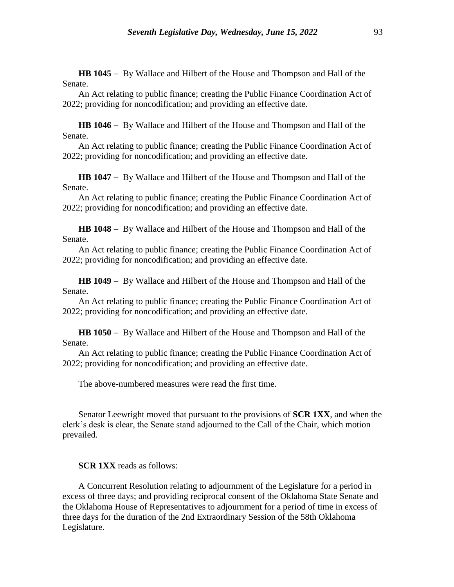**HB 1045** − By Wallace and Hilbert of the House and Thompson and Hall of the Senate.

An Act relating to public finance; creating the Public Finance Coordination Act of 2022; providing for noncodification; and providing an effective date.

**HB 1046** − By Wallace and Hilbert of the House and Thompson and Hall of the Senate.

An Act relating to public finance; creating the Public Finance Coordination Act of 2022; providing for noncodification; and providing an effective date.

**HB 1047** − By Wallace and Hilbert of the House and Thompson and Hall of the Senate.

An Act relating to public finance; creating the Public Finance Coordination Act of 2022; providing for noncodification; and providing an effective date.

**HB 1048** − By Wallace and Hilbert of the House and Thompson and Hall of the Senate.

An Act relating to public finance; creating the Public Finance Coordination Act of 2022; providing for noncodification; and providing an effective date.

**HB 1049** − By Wallace and Hilbert of the House and Thompson and Hall of the Senate.

An Act relating to public finance; creating the Public Finance Coordination Act of 2022; providing for noncodification; and providing an effective date.

**HB 1050** − By Wallace and Hilbert of the House and Thompson and Hall of the Senate.

An Act relating to public finance; creating the Public Finance Coordination Act of 2022; providing for noncodification; and providing an effective date.

The above-numbered measures were read the first time.

Senator Leewright moved that pursuant to the provisions of **SCR 1XX**, and when the clerk's desk is clear, the Senate stand adjourned to the Call of the Chair, which motion prevailed.

**SCR 1XX** reads as follows:

A Concurrent Resolution relating to adjournment of the Legislature for a period in excess of three days; and providing reciprocal consent of the Oklahoma State Senate and the Oklahoma House of Representatives to adjournment for a period of time in excess of three days for the duration of the 2nd Extraordinary Session of the 58th Oklahoma Legislature.